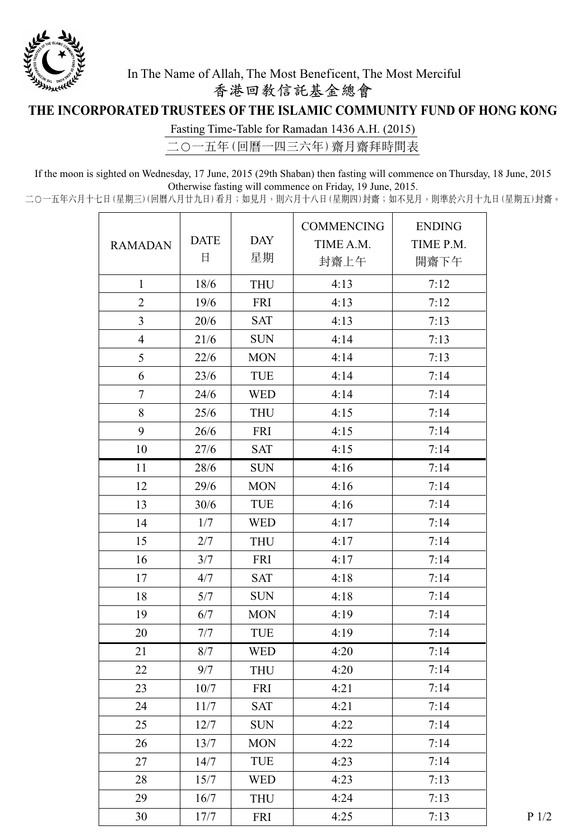

## In The Name of Allah, The Most Beneficent, The Most Merciful 香港回教信託基金總會

## **THE INCORPORATED TRUSTEES OF THE ISLAMIC COMMUNITY FUND OF HONG KONG**

Fasting Time-Table for Ramadan 1436 A.H. (2015)

二〇一五年(回曆一四三六年) 齋月齋拜時間表

If the moon is sighted on Wednesday, 17 June, 2015 (29th Shaban) then fasting will commence on Thursday, 18 June, 2015 Otherwise fasting will commence on Friday, 19 June, 2015.

二〇一五年六月十七日(星期三)(回曆八月廿九日)看月;如見月,則六月十八日(星期四)封齋;如不見月,則準於六月十九日(星期五)封齋。

|                |             |            | <b>COMMENCING</b> | <b>ENDING</b> |  |
|----------------|-------------|------------|-------------------|---------------|--|
| <b>RAMADAN</b> | <b>DATE</b> | <b>DAY</b> | TIME A.M.         | TIME P.M.     |  |
|                | 日           | 星期         | 封齋上午              | 開齋下午          |  |
| $\mathbf{1}$   | 18/6        | <b>THU</b> | 4:13              | 7:12          |  |
| $\overline{2}$ | 19/6        | <b>FRI</b> | 4:13              | 7:12          |  |
| $\mathfrak{Z}$ | 20/6        | <b>SAT</b> | 4:13              | 7:13          |  |
| $\overline{4}$ | 21/6        | <b>SUN</b> | 4:14              | 7:13          |  |
| 5              | 22/6        | <b>MON</b> | 4:14              | 7:13          |  |
| 6              | 23/6        | TUE        | 4:14              | 7:14          |  |
| $\tau$         | 24/6        | <b>WED</b> | 4:14              | 7:14          |  |
| 8              | 25/6        | <b>THU</b> | 4:15              | 7:14          |  |
| 9              | 26/6        | <b>FRI</b> | 4:15              | 7:14          |  |
| 10             | 27/6        | <b>SAT</b> | 4:15              | 7:14          |  |
| 11             | 28/6        | <b>SUN</b> | 4:16              | 7:14          |  |
| 12             | 29/6        | <b>MON</b> | 4:16              | 7:14          |  |
| 13             | 30/6        | TUE        | 4:16              | 7:14          |  |
| 14             | 1/7         | <b>WED</b> | 4:17              | 7:14          |  |
| 15             | 2/7         | <b>THU</b> | 4:17              | 7:14          |  |
| 16             | 3/7         | FRI        | 4:17              | 7:14          |  |
| 17             | 4/7         | <b>SAT</b> | 4:18              | 7:14          |  |
| 18             | 5/7         | <b>SUN</b> | 4:18              | 7:14          |  |
| 19             | 6/7         | <b>MON</b> | 4:19              | 7:14          |  |
| 20             | 7/7         | TUE        | 4:19              | 7:14          |  |
| 21             | 8/7         | <b>WED</b> | 4:20              | 7:14          |  |
| 22             | 9/7         | <b>THU</b> | 4:20              | 7:14          |  |
| 23             | 10/7        | FRI        | 4:21              | 7:14          |  |
| 24             | 11/7        | <b>SAT</b> | 4:21              | 7:14          |  |
| 25             | 12/7        | <b>SUN</b> | 4:22              | 7:14          |  |
| 26             | 13/7        | <b>MON</b> | 4:22              | 7:14          |  |
| 27             | 14/7        | TUE        | 4:23              | 7:14          |  |
| 28             | 15/7        | <b>WED</b> | 4:23              | 7:13          |  |
| 29             | 16/7        | <b>THU</b> | 4:24              | 7:13          |  |
| 30             | 17/7        | FRI        | 4:25              | 7:13          |  |